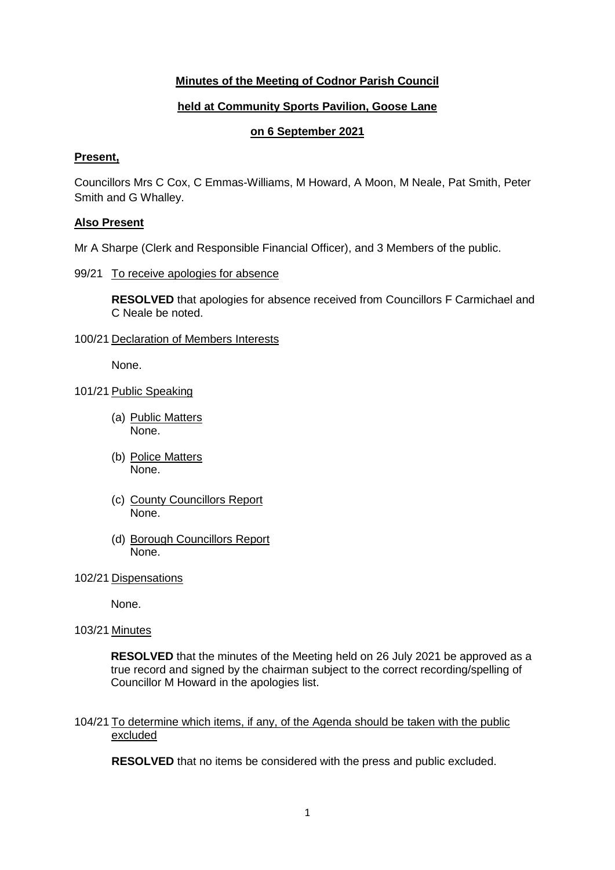# **Minutes of the Meeting of Codnor Parish Council**

# **held at Community Sports Pavilion, Goose Lane**

# **on 6 September 2021**

## **Present,**

Councillors Mrs C Cox, C Emmas-Williams, M Howard, A Moon, M Neale, Pat Smith, Peter Smith and G Whalley.

## **Also Present**

Mr A Sharpe (Clerk and Responsible Financial Officer), and 3 Members of the public.

## 99/21 To receive apologies for absence

**RESOLVED** that apologies for absence received from Councillors F Carmichael and C Neale be noted.

100/21 Declaration of Members Interests

None.

- 101/21 Public Speaking
	- (a) Public Matters None.
	- (b) Police Matters None.
	- (c) County Councillors Report None.
	- (d) Borough Councillors Report None.
- 102/21 Dispensations

None.

103/21 Minutes

**RESOLVED** that the minutes of the Meeting held on 26 July 2021 be approved as a true record and signed by the chairman subject to the correct recording/spelling of Councillor M Howard in the apologies list.

104/21 To determine which items, if any, of the Agenda should be taken with the public excluded

**RESOLVED** that no items be considered with the press and public excluded.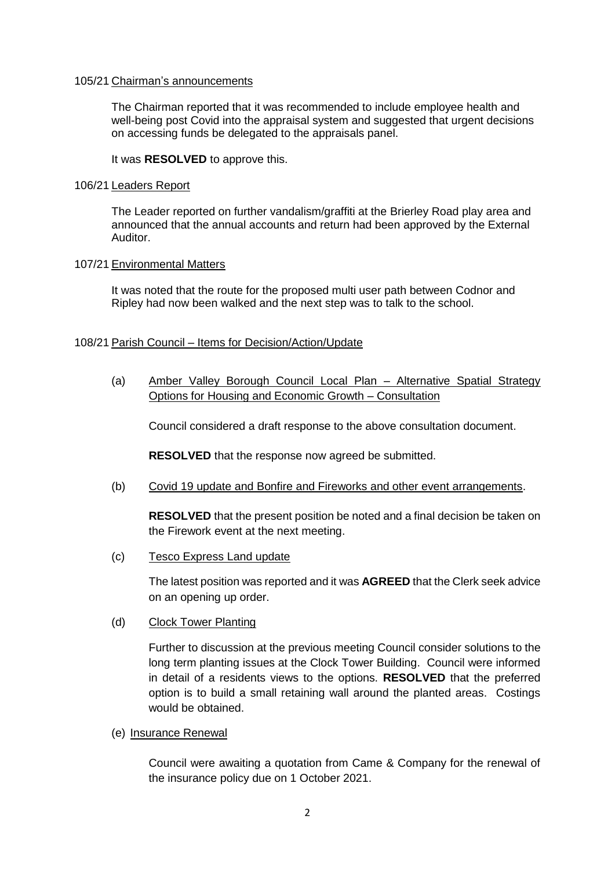#### 105/21 Chairman's announcements

The Chairman reported that it was recommended to include employee health and well-being post Covid into the appraisal system and suggested that urgent decisions on accessing funds be delegated to the appraisals panel.

It was **RESOLVED** to approve this.

#### 106/21 Leaders Report

The Leader reported on further vandalism/graffiti at the Brierley Road play area and announced that the annual accounts and return had been approved by the External Auditor.

#### 107/21 Environmental Matters

It was noted that the route for the proposed multi user path between Codnor and Ripley had now been walked and the next step was to talk to the school.

#### 108/21 Parish Council – Items for Decision/Action/Update

(a) Amber Valley Borough Council Local Plan – Alternative Spatial Strategy Options for Housing and Economic Growth – Consultation

Council considered a draft response to the above consultation document.

**RESOLVED** that the response now agreed be submitted.

(b) Covid 19 update and Bonfire and Fireworks and other event arrangements.

**RESOLVED** that the present position be noted and a final decision be taken on the Firework event at the next meeting.

(c) Tesco Express Land update

The latest position was reported and it was **AGREED** that the Clerk seek advice on an opening up order.

(d) Clock Tower Planting

Further to discussion at the previous meeting Council consider solutions to the long term planting issues at the Clock Tower Building. Council were informed in detail of a residents views to the options. **RESOLVED** that the preferred option is to build a small retaining wall around the planted areas. Costings would be obtained.

(e) Insurance Renewal

Council were awaiting a quotation from Came & Company for the renewal of the insurance policy due on 1 October 2021.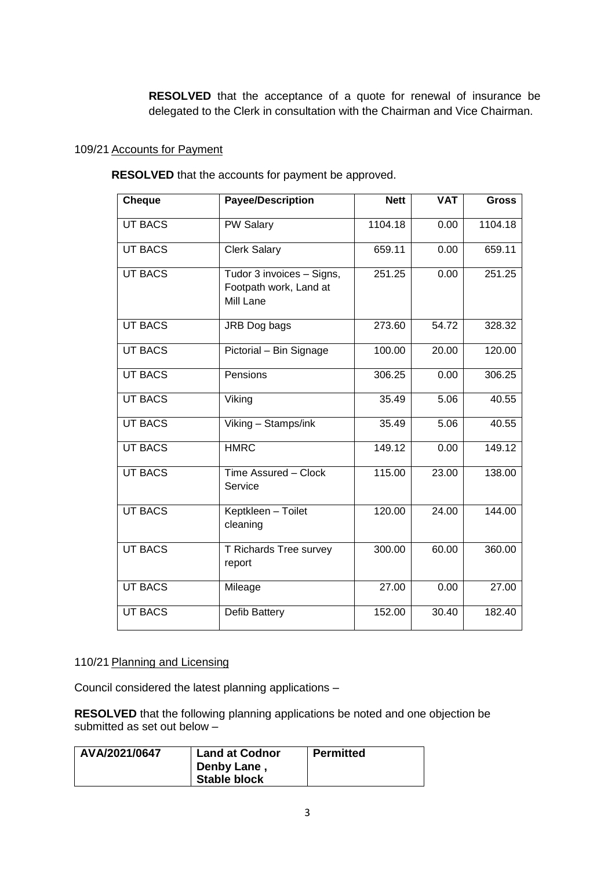**RESOLVED** that the acceptance of a quote for renewal of insurance be delegated to the Clerk in consultation with the Chairman and Vice Chairman.

## 109/21 Accounts for Payment

**RESOLVED** that the accounts for payment be approved.

| <b>Cheque</b>  | <b>Payee/Description</b>                                         | <b>Nett</b> | <b>VAT</b> | <b>Gross</b> |
|----------------|------------------------------------------------------------------|-------------|------------|--------------|
| <b>UT BACS</b> | <b>PW Salary</b>                                                 | 1104.18     | 0.00       | 1104.18      |
| <b>UT BACS</b> | <b>Clerk Salary</b>                                              | 659.11      | 0.00       | 659.11       |
| <b>UT BACS</b> | Tudor 3 invoices - Signs,<br>Footpath work, Land at<br>Mill Lane | 251.25      | 0.00       | 251.25       |
| <b>UT BACS</b> | JRB Dog bags                                                     | 273.60      | 54.72      | 328.32       |
| <b>UT BACS</b> | Pictorial - Bin Signage                                          | 100.00      | 20.00      | 120.00       |
| <b>UT BACS</b> | Pensions                                                         | 306.25      | 0.00       | 306.25       |
| <b>UT BACS</b> | Viking                                                           | 35.49       | 5.06       | 40.55        |
| <b>UT BACS</b> | Viking - Stamps/ink                                              | 35.49       | 5.06       | 40.55        |
| <b>UT BACS</b> | <b>HMRC</b>                                                      | 149.12      | 0.00       | 149.12       |
| <b>UT BACS</b> | Time Assured - Clock<br>Service                                  | 115.00      | 23.00      | 138.00       |
| <b>UT BACS</b> | Keptkleen - Toilet<br>cleaning                                   | 120.00      | 24.00      | 144.00       |
| <b>UT BACS</b> | T Richards Tree survey<br>report                                 | 300.00      | 60.00      | 360.00       |
| <b>UT BACS</b> | Mileage                                                          | 27.00       | 0.00       | 27.00        |
| <b>UT BACS</b> | Defib Battery                                                    | 152.00      | 30.40      | 182.40       |

## 110/21 Planning and Licensing

Council considered the latest planning applications –

**RESOLVED** that the following planning applications be noted and one objection be submitted as set out below –

| AVA/2021/0647 | <b>Land at Codnor</b><br>Denby Lane,<br><b>Stable block</b> | Permitted |
|---------------|-------------------------------------------------------------|-----------|
|               |                                                             |           |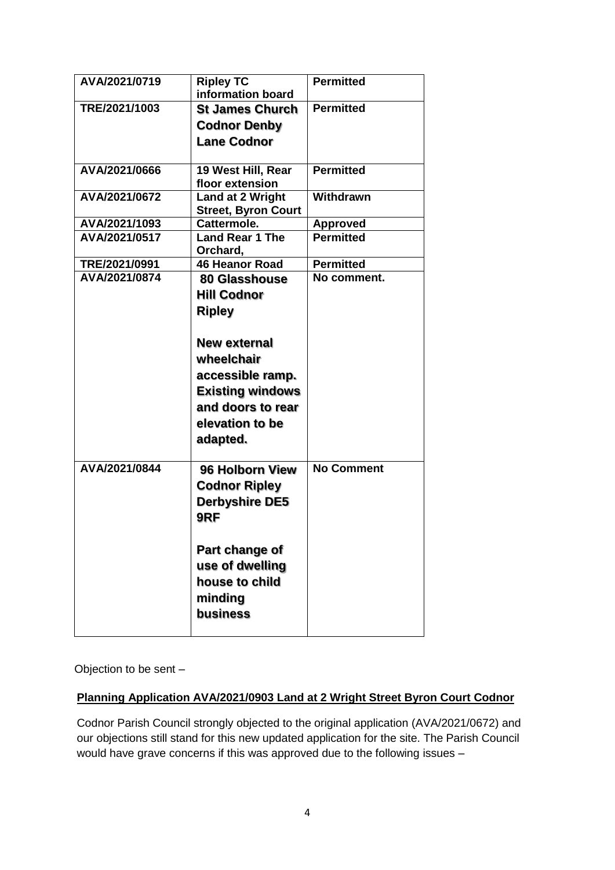| AVA/2021/0719 |                                                       | <b>Permitted</b>  |
|---------------|-------------------------------------------------------|-------------------|
|               | <b>Ripley TC</b><br>information board                 |                   |
| TRE/2021/1003 | <b>St James Church</b>                                | <b>Permitted</b>  |
|               | <b>Codnor Denby</b>                                   |                   |
|               | <b>Lane Codnor</b>                                    |                   |
|               |                                                       |                   |
| AVA/2021/0666 | 19 West Hill, Rear                                    | <b>Permitted</b>  |
|               | floor extension                                       |                   |
| AVA/2021/0672 | <b>Land at 2 Wright</b><br><b>Street, Byron Court</b> | Withdrawn         |
| AVA/2021/1093 | Cattermole.                                           | <b>Approved</b>   |
| AVA/2021/0517 | Land Rear 1 The<br>Orchard,                           | <b>Permitted</b>  |
| TRE/2021/0991 | <b>46 Heanor Road</b>                                 | <b>Permitted</b>  |
| AVA/2021/0874 | 80 Glasshouse                                         | No comment.       |
|               | <b>Hill Codnor</b>                                    |                   |
|               | <b>Ripley</b>                                         |                   |
|               |                                                       |                   |
|               |                                                       |                   |
|               | New external                                          |                   |
|               | wheelchair                                            |                   |
|               | accessible ramp.                                      |                   |
|               | <b>Existing windows</b>                               |                   |
|               | and doors to rear                                     |                   |
|               | elevation to be                                       |                   |
|               |                                                       |                   |
|               | adapted.                                              |                   |
| AVA/2021/0844 | 96 Holborn View                                       | <b>No Comment</b> |
|               | <b>Codnor Ripley</b>                                  |                   |
|               | <b>Derbyshire DE5</b>                                 |                   |
|               | 9RF                                                   |                   |
|               |                                                       |                   |
|               | Part change of                                        |                   |
|               | use of dwelling                                       |                   |
|               | house to child                                        |                   |
|               |                                                       |                   |
|               | minding                                               |                   |
|               | <b>business</b>                                       |                   |
|               |                                                       |                   |

Objection to be sent –

# **Planning Application AVA/2021/0903 Land at 2 Wright Street Byron Court Codnor**

Codnor Parish Council strongly objected to the original application (AVA/2021/0672) and our objections still stand for this new updated application for the site. The Parish Council would have grave concerns if this was approved due to the following issues –